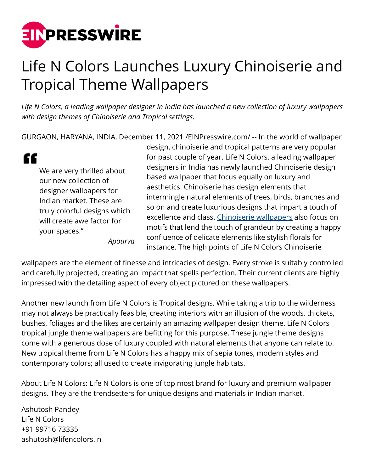

## Life N Colors Launches Luxury Chinoiserie and Tropical Theme Wallpapers

*Life N Colors, a leading wallpaper designer in India has launched a new collection of luxury wallpapers with design themes of Chinoiserie and Tropical settings.*

GURGAON, HARYANA, INDIA, December 11, 2021 [/EINPresswire.com/](http://www.einpresswire.com) -- In the world of wallpaper

" We are very thrilled about our new collection of designer wallpapers for Indian market. These are truly colorful designs which will create awe factor for your spaces."

*Apourva*

design, chinoiserie and tropical patterns are very popular for past couple of year. Life N Colors, a leading wallpaper designers in India has newly launched Chinoiserie design based wallpaper that focus equally on luxury and aesthetics. Chinoiserie has design elements that intermingle natural elements of trees, birds, branches and so on and create luxurious designs that impart a touch of excellence and class. [Chinoiserie wallpapers](https://www.lifencolors.in/home-wallpapers-online-shop?Themes=Chinoiserie) also focus on motifs that lend the touch of grandeur by creating a happy confluence of delicate elements like stylish florals for instance. The high points of Life N Colors Chinoiserie

wallpapers are the element of finesse and intricacies of design. Every stroke is suitably controlled and carefully projected, creating an impact that spells perfection. Their current clients are highly impressed with the detailing aspect of every object pictured on these wallpapers.

Another new launch from Life N Colors is Tropical designs. While taking a trip to the wilderness may not always be practically feasible, creating interiors with an illusion of the woods, thickets, bushes, foliages and the likes are certainly an amazing wallpaper design theme. Life N Colors tropical jungle theme wallpapers are befitting for this purpose. These jungle theme designs come with a generous dose of luxury coupled with natural elements that anyone can relate to. New tropical theme from Life N Colors has a happy mix of sepia tones, modern styles and contemporary colors; all used to create invigorating jungle habitats.

About Life N Colors: Life N Colors is one of top most brand for luxury and premium wallpaper designs. They are the trendsetters for unique designs and materials in Indian market.

Ashutosh Pandey Life N Colors +91 99716 73335 ashutosh@lifencolors.in